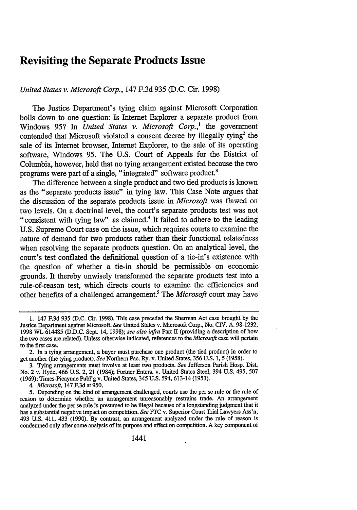## **Revisiting the Separate Products Issue**

## *United States v. Microsoft Corp.,* 147 F.3d 935 (D.C. Cir. 1998)

The Justice Department's tying claim against Microsoft Corporation boils down to one question: Is Internet Explorer a separate product from Windows 95? In *United States v. Microsoft Corp.,'* the government contended that Microsoft violated a consent decree by illegally tying<sup>2</sup> the sale of its Internet browser, Internet Explorer, to the sale of its operating software, Windows 95. The U.S. Court of Appeals for the District of Columbia, however, held that no tying arrangement existed because the two programs were part of a single, "integrated" software product.<sup>3</sup>

The difference between a single product and two tied products is known as the "separate products issue" in tying law. This Case Note argues that the discussion of the separate products issue in *Microsoft* was flawed on two levels. On a doctrinal level, the court's separate products test was not "consistent with tying law" as claimed.4 It failed to adhere to the leading U.S. Supreme Court case on the issue, which requires courts to examine the nature of demand for two products rather than their functional relatedness when resolving the separate products question. On an analytical level, the court's test conflated the definitional question of a tie-in's existence with the question of whether a tie-in should be permissible on economic grounds. It thereby unwisely transformed the separate products test into a rule-of-reason test, which directs courts to examine the efficiencies and other benefits of a challenged arrangement.5 The *Microsoft* court may have

*4. Microsoft,* 147 F.3d at 950.

**<sup>1.</sup>** 147 **F.3d 935 (D.C.** Cir. 1998). This case preceded the Sherman Act case brought **by** the Justice Department against Microsoft. *See* United States v. Microsoft Corp., No. CIV. A. 98-1232, 1998 WL 614485 (D.D.C. Sept. 14, 1998); *see also infra* Part II (providing a description of how the two cases are related). Unless otherwise indicated, references to the *Microsoft* case will pertain to the first case.

<sup>2.</sup> In a tying arrangement, a buyer must purchase one product (the tied product) in order to get another (the tying product). *See* Northern Pac. Ry. v. United States, **356** U.S. *1,* 5 (1958).

<sup>3.</sup> Tying arrangements must involve at least two products. *See* Jefferson Parish Hosp. Dist. No. 2 v. Hyde, 466 U.S. 2, 21 (1984); Fortner Enters. v. United States Steel, 394 U.S. 495, 507 **(1969);** Times-Picayune Publ'g v. United States, 345 U.S. 594,613-14 (1953).

<sup>5.</sup> Depending on the kind of arrangement challenged, courts use the per se rule or the rule of reason to determine whether an arrangement unreasonably restrains trade. An arrangement analyzed under the per se rule is presumed to be illegal because of a longstanding judgment that it has a substantial negative impact on competition. *See* FTC v. Superior Court Trial Lawyers Ass'n, 493 U.S. 411, 433 (1990). By contrast, an arrangement analyzed under the rule of reason is condemned only after some analysis of its purpose and effect on competition. A key component of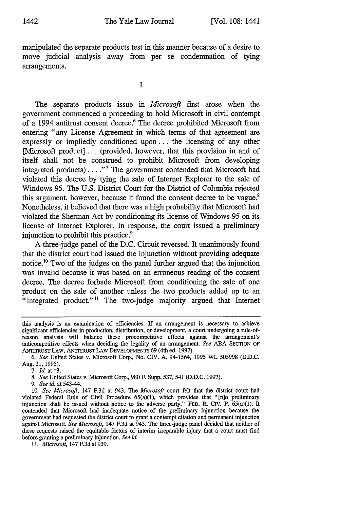manipulated the separate products test in this manner because of a desire to move judicial analysis away from per se condemnation of tying arrangements.

T

The separate products issue in *Microsoft* first arose when the government commenced a proceeding to hold Microsoft in civil contempt of a 1994 antitrust consent decree.<sup>6</sup> The decree prohibited Microsoft from entering "any License Agreement in which terms of that agreement are expressly or impliedly conditioned upon.., the licensing of any other [Microsoft product] ... (provided, however, that this provision in and of itself shall not be construed to prohibit Microsoft from developing integrated products)  $\dots$ <sup>7</sup>. The government contended that Microsoft had violated this decree by tying the sale of Internet Explorer to the sale of Windows 95. The U.S. District Court for the District of Columbia rejected this argument, however, because it found the consent decree to be vague.<sup>8</sup> Nonetheless, it believed that there was a high probability that Microsoft had violated the Sherman Act by conditioning its license of Windows 95 on its license of Internet Explorer. In response, the court issued a preliminary injunction to prohibit this practice.'

A three-judge panel of the D.C. Circuit reversed. It unanimously found that the district court had issued the injunction without providing adequate notice.10 Two of the judges on the panel further argued that the injunction was invalid because it was based on an erroneous reading of the consent decree. The decree forbade Microsoft from conditioning the sale of one product on the sale of another unless the two products added up to an "integrated product."<sup>11</sup> The two-judge majority argued that Internet

*8. See* United States v. Microsoft Corp., 980 F. Supp. 537,541 (D.D.C. 1997).

*9. See id.* at 543-44.

10. *See Microsoft,* 147 F.3d at 943. The *Microsoft* court felt that the district court had violated Federal Rule of Civil Procedure 65(a)(1), which provides that "[n]o preliminary injunction shall be issued without notice to the adverse party." FED. R. **Civ.** P. 65(a)(1). It contended that Microsoft had inadequate notice of the preliminary injunction because the government had requested the district court to grant a contempt citation and permanent injunction against Microsoft. *See Microsoft,* 147 F.3d at 943. The three-judge panel decided that neither of these requests raised the equitable factors of interim irreparable injury that a court must find before granting a preliminary injunction. *See icL*

11. *Microsoft,* 147 F.3d at 939.

this analysis is an examination of efficiencies. If an arrangement is necessary to achieve significant efficiencies in production, distribution, or development, a court undergoing a rule-ofreason analysis will balance these procompetitive effects against the arrangement's anticompetitive effects when deciding the legality of an arrangement. *See* ABA SECTION *OF* ANTITRUST LAW, ANTITRUST **LAW** DEVELOPMENTS 69 (4th ed. 1997).

*<sup>6.</sup> See* United States v. Microsoft Corp., No. CIV. A. 94-1564, 1995 WL 505998 (D.D.C. Aug. 21, 1995).

<sup>7.</sup> *Id.* at **\*3.**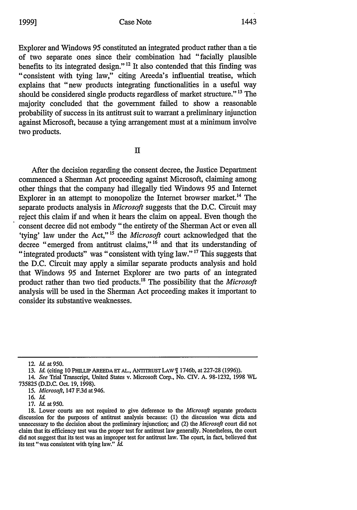Explorer and Windows 95 constituted an integrated product rather than a tie of two separate ones since their combination had "facially plausible benefits to its integrated design."<sup>12</sup> It also contended that this finding was "consistent with tying law," citing Areeda's influential treatise, which explains that "new products integrating functionalities in a useful way should be considered single products regardless of market structure."<sup>13</sup> The majority concluded that the government failed to show a reasonable probability of success in its antitrust suit to warrant a preliminary injunction against Microsoft, because a tying arrangement must at a minimum involve two products.

II

After the decision regarding the consent decree, the Justice Department commenced a Sherman Act proceeding against Microsoft, claiming among other things that the company had illegally tied Windows 95 and Internet Explorer in an attempt to monopolize the Internet browser market.<sup>14</sup> The separate products analysis in *Microsoft* suggests that the D.C. Circuit may reject this claim if and when it hears the claim on appeal. Even though the consent decree did not embody "the entirety of the Sherman Act or even all 'tying' law under the Act,"<sup>15</sup> the *Microsoft* court acknowledged that the decree "emerged from antitrust claims,"<sup>16</sup> and that its understanding of "integrated products" was "consistent with tying law."<sup>17</sup> This suggests that the D.C. Circuit may apply a similar separate products analysis and hold that Windows *95* and Internet Explorer are two parts of an integrated product rather than two tied products.<sup>18</sup> The possibility that the *Microsoft* analysis will be used in the Sherman Act proceeding makes it important to consider its substantive weaknesses.

<sup>12.</sup> Id. at 950.

**<sup>13.</sup>** *Id* (citing **10** PHILLIPAREEDA **ETAL.,** ANTrIRUSTLAW 1746b, at 227-28 (1996)).

<sup>14.</sup> *See* Trial Transcript, United States **v. Microsoft** Corp., **No. CIV. A. 98-1232, 1998** WL 735825 (D.D.C. Oct. 19, 1998).

*<sup>15.</sup> Microsoft,* 147 **F.3d** at 946.

<sup>16.</sup> *Id*

<sup>17.</sup> *Id* at 950.

<sup>18.</sup> Lower courts are not required to give deference to the *Microsoft* separate products discussion for the purposes of antitrust analysis because: **(1)** the discussion was dicta and unnecessary to the decision about the preliminary injunction; and (2) the *Microsoft* court did not claim that its efficiency test was the proper test for antitrust law generally. Nonetheless, the court did not suggest that its test was an improper test for antitrust law. The court, in fact, believed that its test "was consistent with tying law." *Id*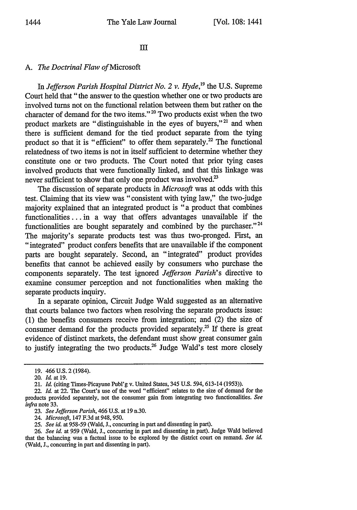## *A. The Doctrinal Flaw of* Microsoft

In *Jefferson Parish Hospital District No. 2 v. Hyde,19* the U.S. Supreme Court held that "the answer to the question whether one or two products are involved turns not on the functional relation between them but rather on the character of demand for the two items." 20 Two products exist when the two product markets are "distinguishable in the eyes of buyers,"<sup>21</sup> and when there is sufficient demand for the tied product separate from the tying product so that it is "efficient" to offer them separately.<sup>22</sup> The functional relatedness of two items is not in itself sufficient to determine whether they constitute one or two products. The Court noted that prior tying cases involved products that were functionally linked, and that this linkage was never sufficient to show that only one product was involved.<sup>23</sup>

The discussion of separate products in *Microsoft* was at odds with this test. Claiming that its view was "consistent with tying law," the two-judge majority explained that an integrated product is "a product that combines functionalities... in a way that offers advantages unavailable if the functionalities are bought separately and combined by the purchaser."<sup>24</sup> The majority's separate products test was thus two-pronged. First, an "integrated" product confers benefits that are unavailable if the component parts are bought separately. Second, an "integrated" product provides benefits that cannot be achieved easily by consumers who purchase the components separately. The test ignored *Jefferson Parish's* directive to examine consumer perception and not functionalities when making the separate products inquiry.

In a separate opinion, Circuit Judge Wald suggested as an alternative that courts balance two factors when resolving the separate products issue: (1) the benefits consumers receive from integration; and (2) the size of consumer demand for the products provided separately.<sup>25</sup> If there is great evidence of distinct markets, the defendant must show great consumer gain to justify integrating the two products.<sup>26</sup> Judge Wald's test more closely

<sup>19. 466</sup> U.S. 2 (1984).

<sup>20.</sup> *Il* at 19.

<sup>21.</sup> *Id.* (citing Times-Picayune Publ'g v. United States, 345 U.S. 594, 613-14 (1953)).

<sup>22.</sup> *Md* at 22. The Court's use of the word "efficient" relates to the size of demand for the products provided separately, not the consumer gain from integrating two functionalities. *See infra* note 33.

<sup>23.</sup> *See Jefferson Parish,* 466 U.S. at 19 n.30.

<sup>24.</sup> *Microsoft,* 147 F.3d at 948, 950.

<sup>25.</sup> *See id.* at 958-59 (Wald, J., concurring in part and dissenting in part).

<sup>26.</sup> *See id.* at 959 (Wald, J., concurring in part and dissenting in part). Judge Wald believed that the balancing was a factual issue to be explored by the district court on remand. *See id.* (Wald, **J.,** concurring in part and dissenting in part).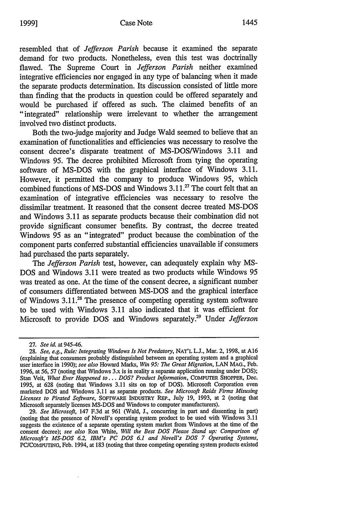resembled that of *Jefferson Parish* because it examined the separate demand for two products. Nonetheless, even this test was doctrinally flawed. The Supreme Court in *Jefferson Parish* neither examined integrative efficiencies nor engaged in any type of balancing when it made the separate products determination. Its discussion consisted of little more than finding that the products in question could be offered separately and would be purchased if offered as such. The claimed benefits of an "integrated" relationship were irrelevant to whether the arrangement involved two distinct products.

Both the two-judge majority and Judge Wald seemed to believe that an examination of functionalities and efficiencies was necessary to resolve the consent decree's disparate treatment of MS-DOS/Windows 3.11 and Windows 95. The decree prohibited Microsoft from tying the operating software of MS-DOS with the graphical interface of Windows 3.11. However, it permitted the company to produce Windows 95, which combined functions of MS-DOS and Windows 3.11.<sup>27</sup> The court felt that an examination of integrative efficiencies was necessary to resolve the dissimilar treatment. It reasoned that the consent decree treated MS-DOS and Windows 3.11 as separate products because their combination did not provide significant consumer benefits. By contrast, the decree treated Windows 95 as an "integrated" product because the combination of the component parts conferred substantial efficiencies unavailable if consumers had purchased the parts separately.

The *Jefferson Parish* test, however, can adequately explain why MS-DOS and Windows 3.11 were treated as two products while Windows 95 was treated as one. At the time of the consent decree, a significant number of consumers differentiated between MS-DOS and the graphical interface of Windows **<sup>3</sup> .11 .'** The presence of competing operating system software to be used with Windows 3.11 also indicated that it was efficient for Microsoft to provide DOS and Windows separately.29 Under *Jefferson*

<sup>27.</sup> *See id.* at 945-46.

<sup>28.</sup> *See, e.g., Rule: Integrating Windows Is Not Predatory,* **NAT'L** L.J., Mar. 2, 1998, at A16 (explaining that consumers probably distinguished between an operating system and a graphical user interface in 1990); *see also* Howard Marks, *Win 95: The Great Migration,* LAN MAG., Feb. 1996, at 56, 57 (noting that Windows 3.x is in reality a separate application running under DOS); Stan Veit, *What Ever Happened to... DOS? Product Information,* COMPUTER SHOPPER, Dec. 1995, at 628 (noting that Windows 3.11 sits on top of DOS). Microsoft Corporation even marketed DOS and Windows 3.11 as separate products. *See Microsoft Raids Firms Misusing Licenses to Pirated Software,* SoFrwARE INDUSTRY REP., July 19, 1993, at 2 (noting that Microsoft separately licenses MS-DOS and Windows to computer manufacturers).

<sup>29.</sup> *See Microsoft,* 147 F.3d at 961 (Wald, J., concurring in part and dissenting in part) (noting that the presence of Novell's operating system product to be used with Windows 3.11 suggests the existence of a separate operating system market from Windows at the time of the consent decree); *see also* Ron White, *Will the Best DOS Please Stand up: Comparison of Microsoft's MS-DOS 6.2, IBM's PC DOS 6.1 and Novell's DOS 7 Operating Systems,* PC/COMPUTING, Feb. 1994, at 183 (noting that three competing operating system products existed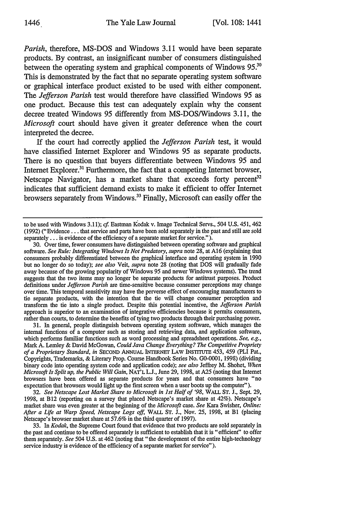*Parish,* therefore, MS-DOS and Windows 3.11 would have been separate products. By contrast, an insignificant number of consumers distinguished between the operating system and graphical components of Windows **95.30** This is demonstrated by the fact that no separate operating system software or graphical interface product existed to be used with either component. *The Jefferson Parish* test would therefore have classified Windows 95 as one product. Because this test can adequately explain why the consent decree treated Windows 95 differently from MS-DOS/Windows 3.11, the *Microsoft* court should have given it greater deference when the court interpreted the decree.

If the court had correctly applied the *Jefferson Parish* test, it would have classified Internet Explorer and Windows 95 as separate products. There is no question that buyers differentiate between Windows 95 and Internet Explorer.<sup>31</sup> Furthermore, the fact that a competing Internet browser, Netscape Navigator, has a market share that exceeds forty percent<sup>32</sup> indicates that sufficient demand exists to make it efficient to offer Internet browsers separately from Windows.33 Finally, Microsoft can easily offer the

30. Over time, fewer consumers have distinguished between operating software and graphical software. *See Rule: Integrating Windows Is Not Predatory, supra* note 28, at **A16** (explaining that consumers probably differentiated between the graphical interface and operating system in 1990 but no longer do so today); *see also* Veit, *supra* note 28 (noting that DOS will gradually fade away because of the growing popularity of Windows 95 and newer Windows systems). The trend suggests that the two items may no longer be separate products for antitrust purposes. Product definitions under *Jefferson Parish* are time-sensitive because consumer perceptions may change over time. This temporal sensitivity may have the perverse effect of encouraging manufacturers to tie separate products, with the intention that the tie will change consumer perception and transform the tie into a single product. Despite this potential incentive, the *Jefferson Parish* approach is superior to an examination of integrative efficiencies because it permits consumers, rather than courts, to determine the benefits of tying two products through their purchasing power.

31. In general, people distinguish between operating system software, which manages the internal functions of a computer such as storing and retrieving data, and application software, which performs familiar functions such as word processing and spreadsheet operations. *See, e.g.,* Mark A. Lemley & David McGowan, *Could Java Change Everything? The Competitive Propriety of a Proprietary Standard, in* SECOND ANNUAL **INTERNET** LAW **INsTnTTE** 453, 459 (PLI Pat., Copyrights, Trademarks, & Literary Prop. Course Handbook Series No. G0-0001, 1998) (dividing binary code into operating system code and application code); *see also* Jeffrey M. Shohet, *When Microsoft Is Split up, the Public Will Gain,* **NAT'L L.J.,** June 29, 1998, at *A25* (noting that Internet browsers have been offered as separate products for years and that consumers have "no expectation that browsers would light up the first screen when a user boots up the computer").

32. *See Netscape Lost Market Share to Microsoft in 1st Half of '98,* WALL ST. J., Sept. 29, 1998, at B12 (reporting on a survey that placed Netscape's market share at 42%). Netscape's market share was even greater at the beginning of the *Microsoft* case. *See* Kara Swisher, *Online: After a Life at Warp Speed, Netscape Logs off,* WALL ST. **J.,** Nov. 25, 1998, at B1 (placing Netscape's browser market share at 57.6% in the third quarter of 1997).

33. In *Kodak,* the Supreme Court found that evidence that two products are sold separately in the past and continue to be offered separately is sufficient to establish that it is "efficient" to offer them separately. *See* 504 U.S. at 462 (noting that "the development of the entire high-technology service industry is evidence of the efficiency of a separate market for service").

to be used with Windows 3.11); *cf.* Eastman Kodak v. Image Technical Servs., 504 U.S. 451,462 (1992) ("Evidence **...** that service and parts have been sold separately in the past and still are sold separately . . . is evidence of the efficiency of a separate market for service.").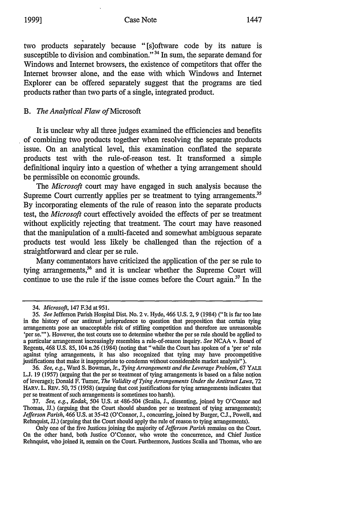two products separately because "[s]oftware code **by** its nature is susceptible to division and combination."<sup>34</sup> In sum, the separate demand for Windows and Internet browsers, the existence of competitors that offer the Internet browser alone, and the ease with which Windows and Internet Explorer can be offered separately suggest that the programs are tied products rather than two parts of a single, integrated product.

## B. *The Analytical Flaw of* Microsoft

It is unclear why all three judges examined the efficiencies and benefits of combining two products together when resolving the separate products issue. On an analytical level, this examination conflated the separate products test with the rule-of-reason test. It transformed a simple definitional inquiry into a question of whether a tying arrangement should be permissible on economic grounds.

The *Microsoft* court may have engaged in such analysis because the Supreme Court currently applies per se treatment to tying arrangements.<sup>35</sup> **By** incorporating elements of the rule of reason into the separate products test, the *Microsoft* court effectively avoided the effects of per se treatment without explicitly rejecting that treatment. The court may have reasoned that the manipulation of a multi-faceted and somewhat ambiguous separate products test would less likely be challenged than the rejection of a straightforward and clear per se rule.

Many commentators have criticized the application of the per se rule to tying arrangements,<sup>36</sup> and it is unclear whether the Supreme Court will continue to use the rule if the issue comes before the Court again. $37$  In the

**36.** *See, e.g.,* Ward **S.** Bowman, Jr., *Tying Arrangements and the Leverage Problem,* **67** YALE **L.J. 19 (1957)** (arguing that the per se treatment of tying arrangements is based on a false notion of leverage); Donald F. Turner, *The Validity of Tying Arrangements Under the Antitrust Laws,* **72 HARV.** L. REv. **50,75 (1958)** (arguing that cost justifications for tying arrangements indicates that per se treatment of such arrangements is sometimes too harsh).

**37.** *See, e.g., Kodak,* 504 **U.S.** at 486-504 (Scalia, **J.,** dissenting, joined **by** O'Connor and Thomas, **JJ.)** (arguing that the Court should abandon per se treatment of tying arrangements); *Jefferson Parish,* 466 **U.S.** at 35-42 (O'Connor, **J.,** concurring, joined **by** Burger, **C.J.,** Powell, and Rehnquist, **JJ.)** (arguing that the Court should apply the rule of reason to tying arrangements).

Only one of the five Justices joining the majority of *Jefferson Parish* remains on the Court. On the other hand, both Justice O'Connor, who wrote the concurrence, and Chief Justice Rehnquist, who joined it, remain on the Court. Furthermore, Justices Scalia and Thomas, who are

<sup>34.</sup> *Microsoft,* 147 **F.3d** at **951.**

*<sup>35.</sup> See* Jefferson Parish Hospital Dist. No. 2 v. Hyde, 466 **U.S. 2, 9** (1984) ("It is far too late in the history of our antitrust jurisprudence to question that proposition that certain tying arrangements pose an unacceptable risk of stifling competition and therefore are unreasonable 'per se."'). However, the test courts use to determine whether the per se rule should be applied to a particular arrangement increasingly resembles a rule-of-reason inquiry. *See* **NCAA** v. Board of Regents, 468 **U.S. 85,** 104 n.26 (1984) (noting that "while the Court has spoken of a 'per se' rule against tying arrangements, it has also recognized that tying may have procompetitive justifications that make it inappropriate to condemn without considerable market analysis").